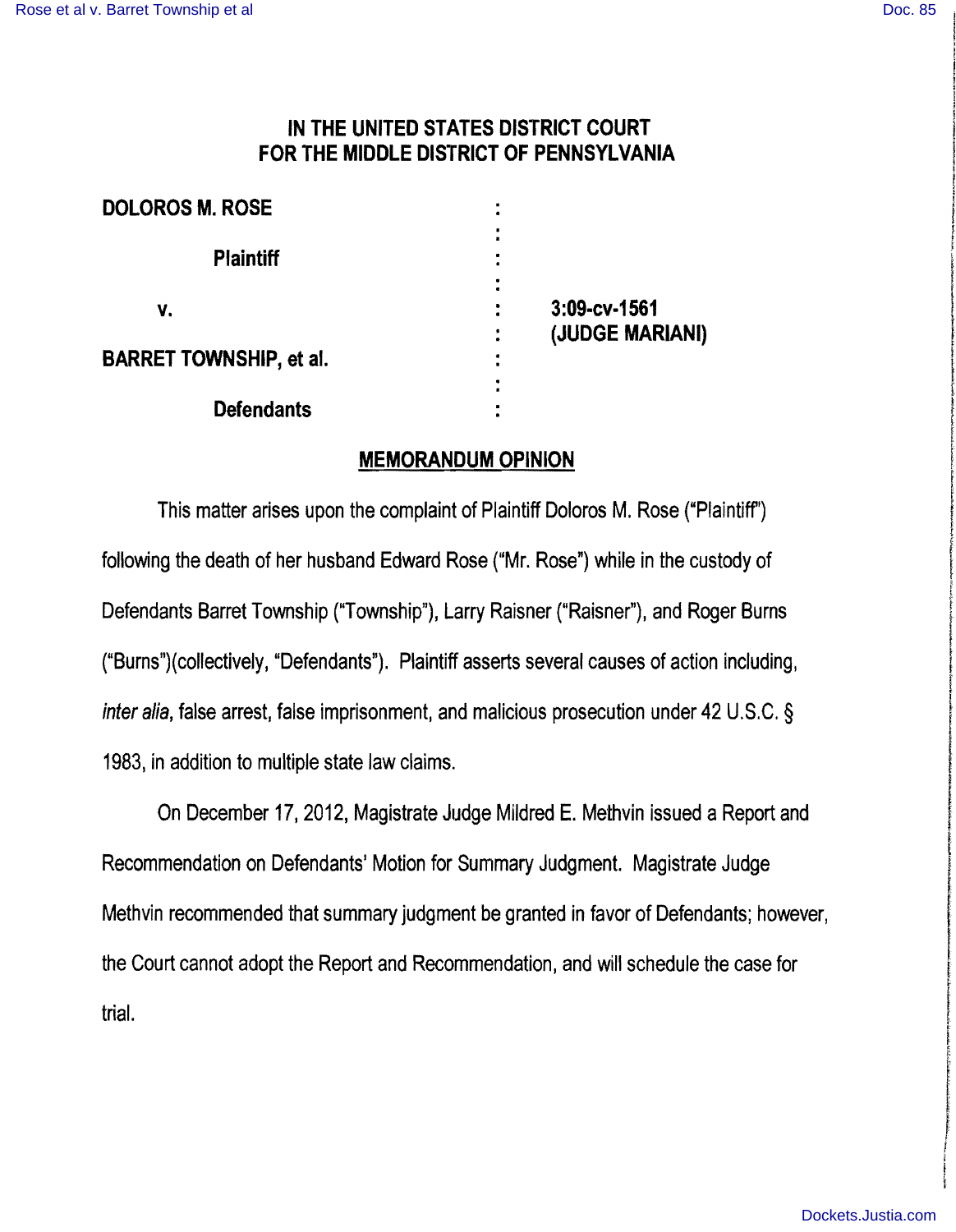# **IN THE UNITED STATES DISTRICT COURT**  FOR THE **MIDDLE DISTRICT OF PENNSYLVANIA**

| <b>DOLOROS M. ROSE</b>         |                                                             |
|--------------------------------|-------------------------------------------------------------|
| <b>Plaintiff</b>               |                                                             |
| v.                             | 3:09-cv-1561                                                |
| <b>BARRET TOWNSHIP, et al.</b> | (JUDGE MARIANI)<br>٠<br>$\bullet$<br>$\bullet$<br>$\bullet$ |
| <b>Defendants</b>              |                                                             |

## **MEMORANDUM OPINION**

This matter arises upon the complaint of Plaintiff Doloros M. Rose ("Plaintiff") following the death of her husband Edward Rose ("Mr. Rose") while in the custody of Defendants Barret Township ("Township"), Larry Raisner ("Raisner"), and Roger Burns ("Burns")(collectively, "Defendants"). Plaintiff asserts several causes of action including, inter alia, false arrest, false imprisonment, and malicious prosecution under 42 U.S.C. § 1983, in addition to multiple state law claims.

On December 17, 2012, Magistrate Judge Mildred E. Methvin issued a Report and Recommendation on Defendants' Motion for Summary Judgment. Magistrate Judge Methvin recommended that summary judgment be granted in favor of Defendants; however, the Court cannot adopt the Report and Recommendation, and will schedule the case for trial.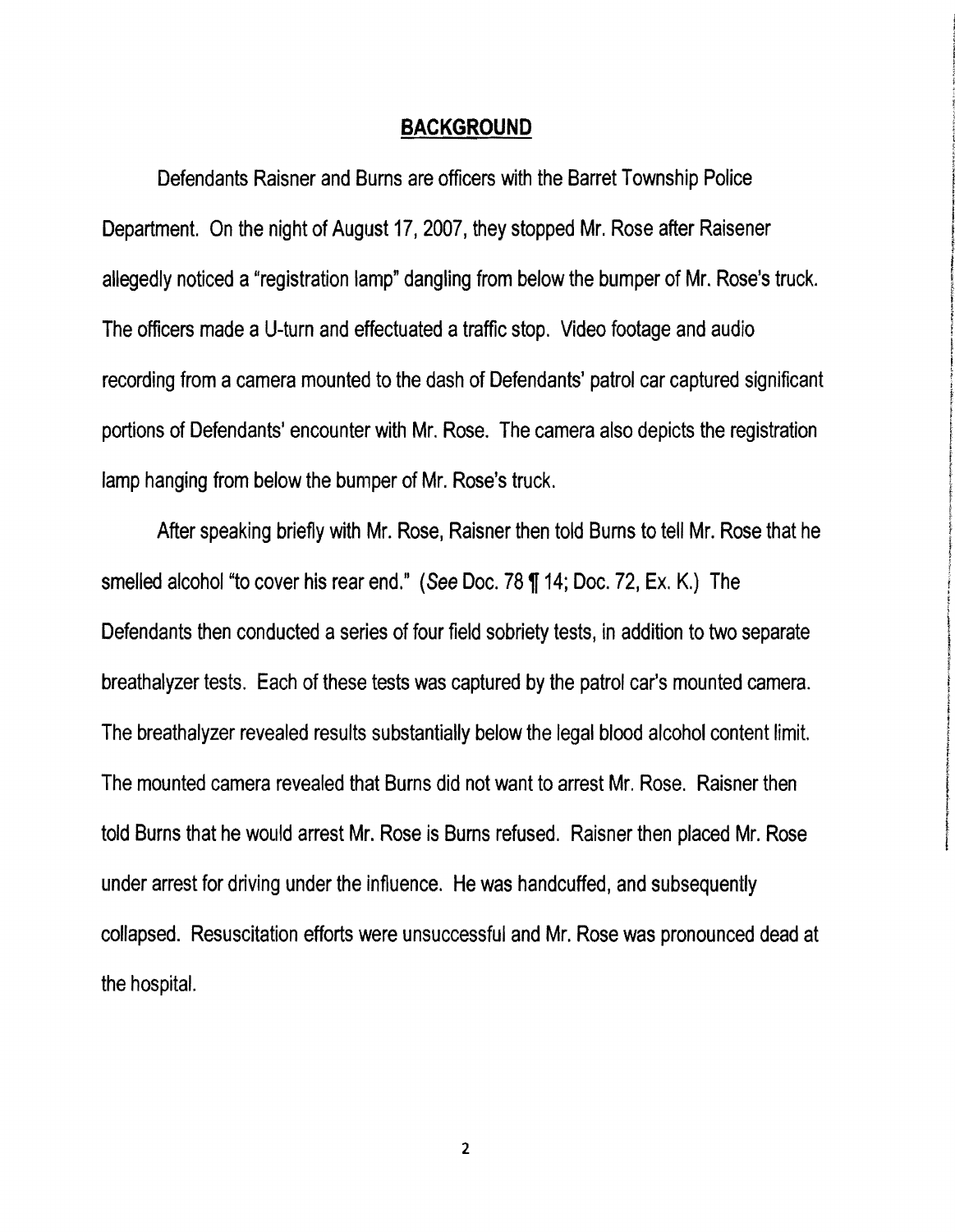#### **BACKGROUND**

Defendants Raisner and Burns are officers with the Barret Township Police Department. On the night of August 17, 2007, they stopped Mr. Rose after Raisener allegedly noticed a "registration lamp" dangling from below the bumper of Mr. Rose's truck. The officers made a U-turn and effectuated a traffic stop. Video footage and audio recording from a camera mounted to the dash of Defendants' patrol car captured significant portions of Defendants' encounter with Mr. Rose. The camera also depicts the registration  $\begin{bmatrix} \end{bmatrix}$ 

İ the orientation of the con-I

response

f

After speaking briefly with Mr. Rose, Raisner then told Burns to tell Mr. Rose that he smelled alcohol "to cover his rear end." (See Doc. 78 ¶ 14; Doc. 72, Ex. K.) The Defendants then conducted a series of four field sobriety tests, in addition to two separate breathalyzer tests. Each of these tests was captured by the patrol car's mounted camera. The breathalyzer revealed results substantially below the legal blood alcohol content limit. The mounted camera revealed that Burns did not want to arrest Mr. Rose. Raisner then told Burns that he would arrest Mr. Rose is Burns refused. Raisner then placed Mr. Rose under arrest fer driving under the influence. He was handcuffed, and subsequently collapsed. Resuscitation efforts were unsuccessful and Mr. Rose was pronounced dead at the hospital.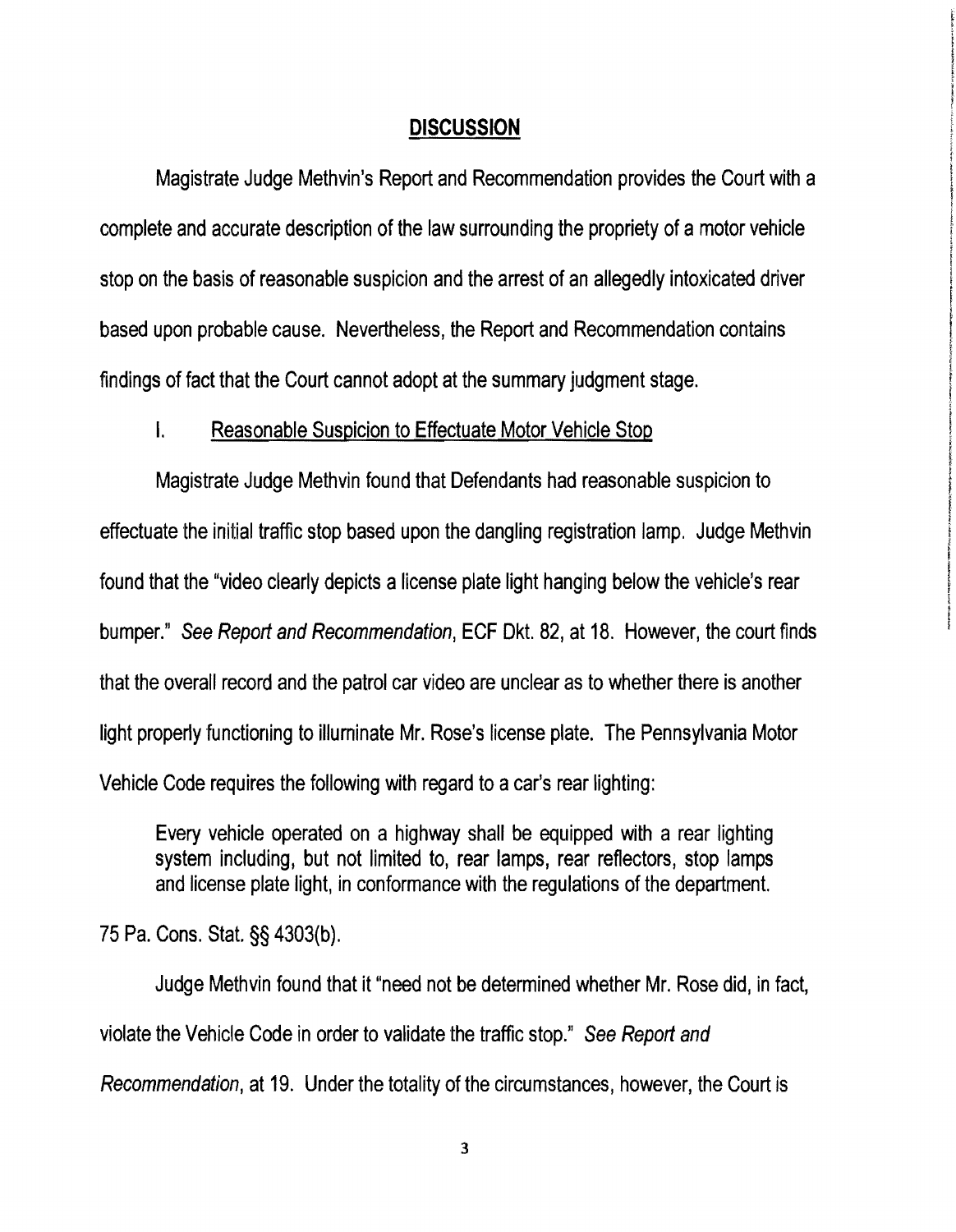#### **DISCUSSION**

Magistrate Judge Methvin's Report and Recommendation provides the Court with a complete and accurate description of the law surrounding the propriety of a motor vehicle stop on the basis of reasonable suspicion and the arrest of an allegedly intoxicated driver based upon probable cause. Nevertheless, the Report and Recommendation contains findings of fact that the Court cannot adopt at the summary judgment stage.

#### I. Reasonable Suspicion to Effectuate Motor Vehicle Stop

Magistrate Judge Methvin found that Defendants had reasonable suspicion to effectuate the initial traffic stop based upon the dangling registration lamp. Judge Methvin found that the "video clearly depicts a license plate light hanging below the vehicle's rear bumper." See Report and Recommendation, ECF Dkt. 82, at 18. However, the court finds that the overall record and the patrol car video are unclear as to whether there is another light properly functioning to illurninate Mr. Rose's license plate. The Pennsylvania Motor Vehicle Code requires the following with regard to acar's rear lighting:

Every vehicle operated on a highway shall be equipped with a rear lighting system including, but not limited to, rear lamps, rear reflectors, stop lamps and license plate light, in conformance with the regulations of the department.

75 Pa. Cons. Stat. §§ 4303{b),

Judge Methvin found that it "need not be determined whether Mr. Rose did, in fact, violate the Vehicle Code in order to validate the traffic stop," See Report and Recommendation, at 19. Under the totality of the circumstances, however, the Court is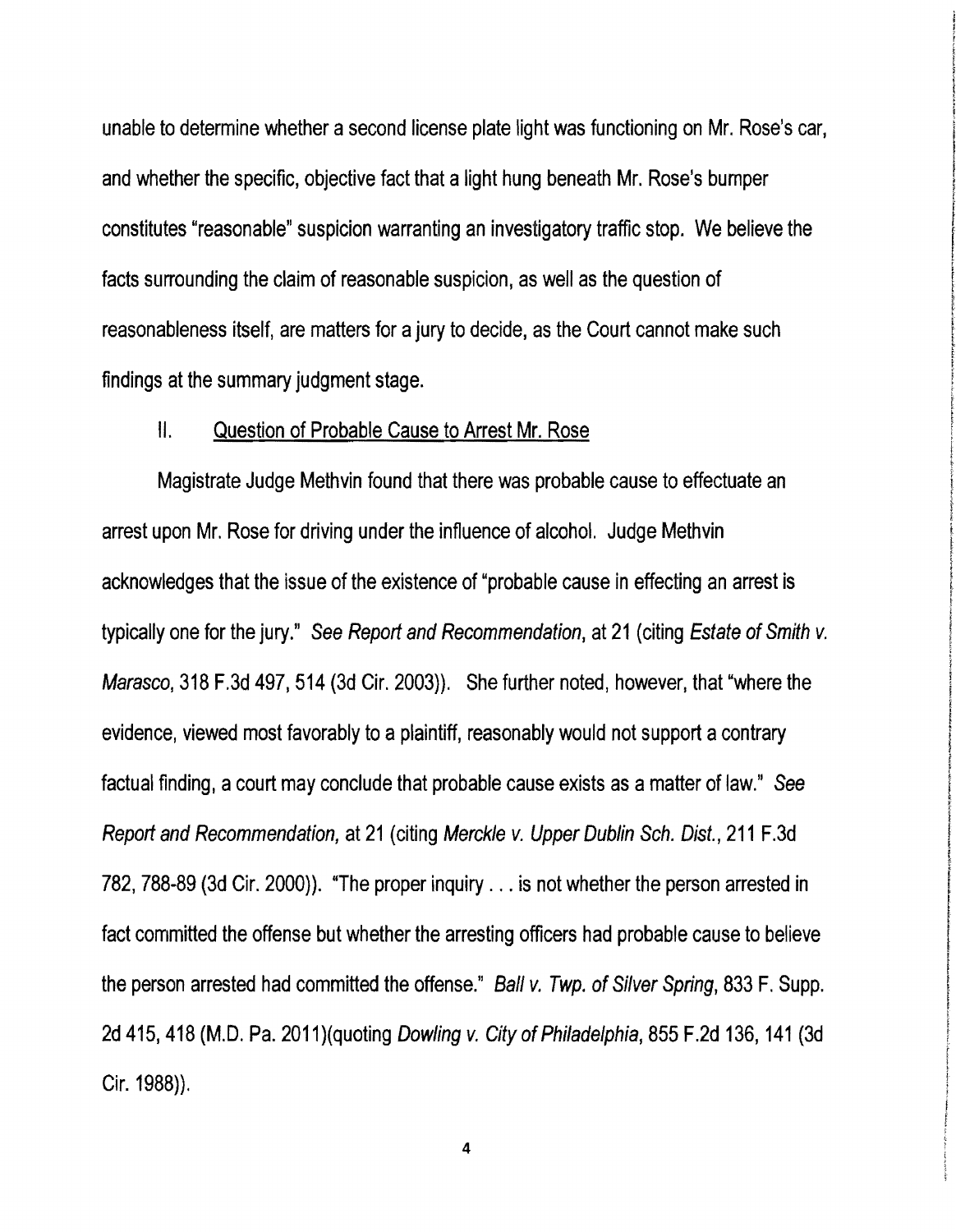unable to determine whether a second license plate light was functioning on Mr. Rose's car, and whether the specific, objective fact that alight hung beneath Mr. Rose's bumper constitutes "reasonable" suspicion warranting an investigatory traffic stop. We believe the facts surrounding the claim of reasonable suspicion, as well as the question of reasonableness itself, are matters for a jury to decide, as the Court cannot make such findings at the summary judgment stage.

, responsive

## II. Question of Probable Cause to Arrest Mr. Rose

Magistrate Judge Methvin found that there was probable cause to effectuate an arrest upon Mr. Rose for driving under the influence of alcohol. Judge Methvin acknowledges that the issue of the existence of "probable cause in effecting an arrest is typically one for the jury." See Report and Recommendation, at 21 (citing Estate of Smith v. Marasco, 318 F.3d 497, 514 (3d Cir. 2003)). She further noted, however, that "where the evidence, viewed most favorably to a plaintiff, reasonably would not support a contrary factual finding, acourt may conclude that probable cause exists as amatter of law." See Report and Recommendation, at 21 (citing Merckle v. Upper Dublin Sch. Dist., 211 F.3d 782, 788-89 (3d Cir. 2000)). "The proper inquiry ... is not whether the person arrested in fact committed the offense but whether the arresting officers had probable cause to believe the person arrested had committed the offense." Ball v. Twp. of Silver Spring, 833 F. Supp. 2d 415, 418 (M.D. Pa. 2011) (quoting Dowling v. City of Philadelphia, 855 F.2d 136, 141 (3d Cir. 1988)}.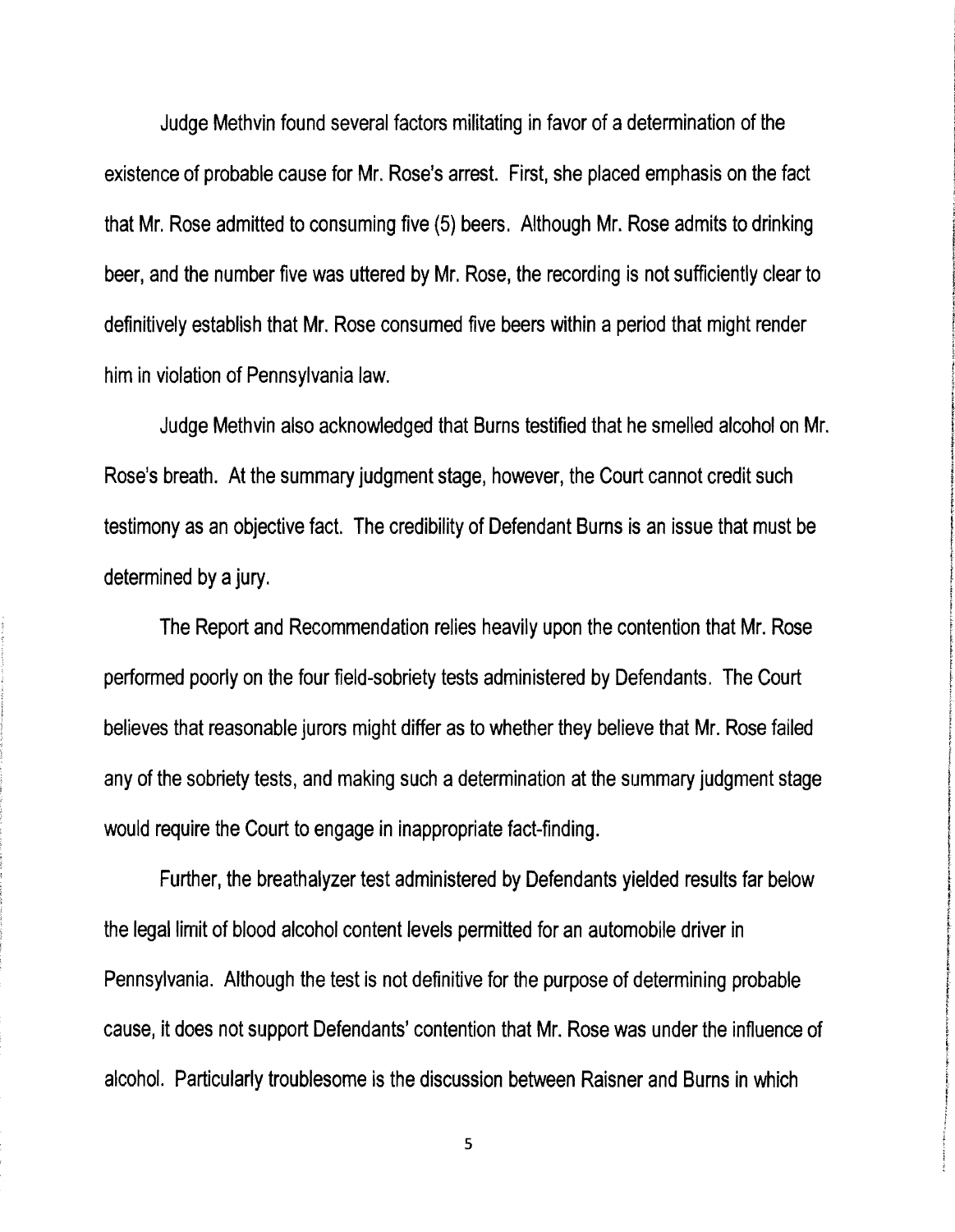Judge Methvin found several factors militating in favor of adetermination of the existence of probable cause for Mr. Rose's arrest. First, she placed emphasis on the fact that Mr. Rose admitted to consuming five (5) beers. Although Mr. Rose admits to drinking beer, and the number five was uttered by Mr. Rose, the recording is not sufficiently clear to definitively establish that Mr. Rose consumed five beers within aperiod that might render him in violation of Pennsylvania law.

Judge Methvin also acknowledged that Burns testified that he smelled alcohol on Mr. Rose's breath. At the summary judgment stage, however, the Court cannot credit such testimony as an objective fact. The credibility of Defendant Burns is an issue that must be determined by a jury.

The Report and Recommendation relies heavily upon the contention that Mr. Rose performed poorly on the four field-sobriety tests administered by Defendants. The Court believes that reasonable jurors might differ as to whether they believe that Mr. Rose failed any of the sobriety tests, and making such a determination at the summary judgment stage would require the Court to engage in inappropriate fact-finding.

Further, the breathalyzer test administered by Defendants yielded results far below *<sup>t</sup>* the legal limit of blood alcohol content levels permitted for an automobile driver in Pennsylvania. Although the test is not definitive for the purpose of determining probable cause, it does not support Defendants' contention that Mr. Rose was under the influence of <sup>i</sup> alcohol. Particularly troublesome is the discussion between Raisner and Burns in which

t **Excellent** !

**for a family of the** 

1<br>1914 - Paris !!! !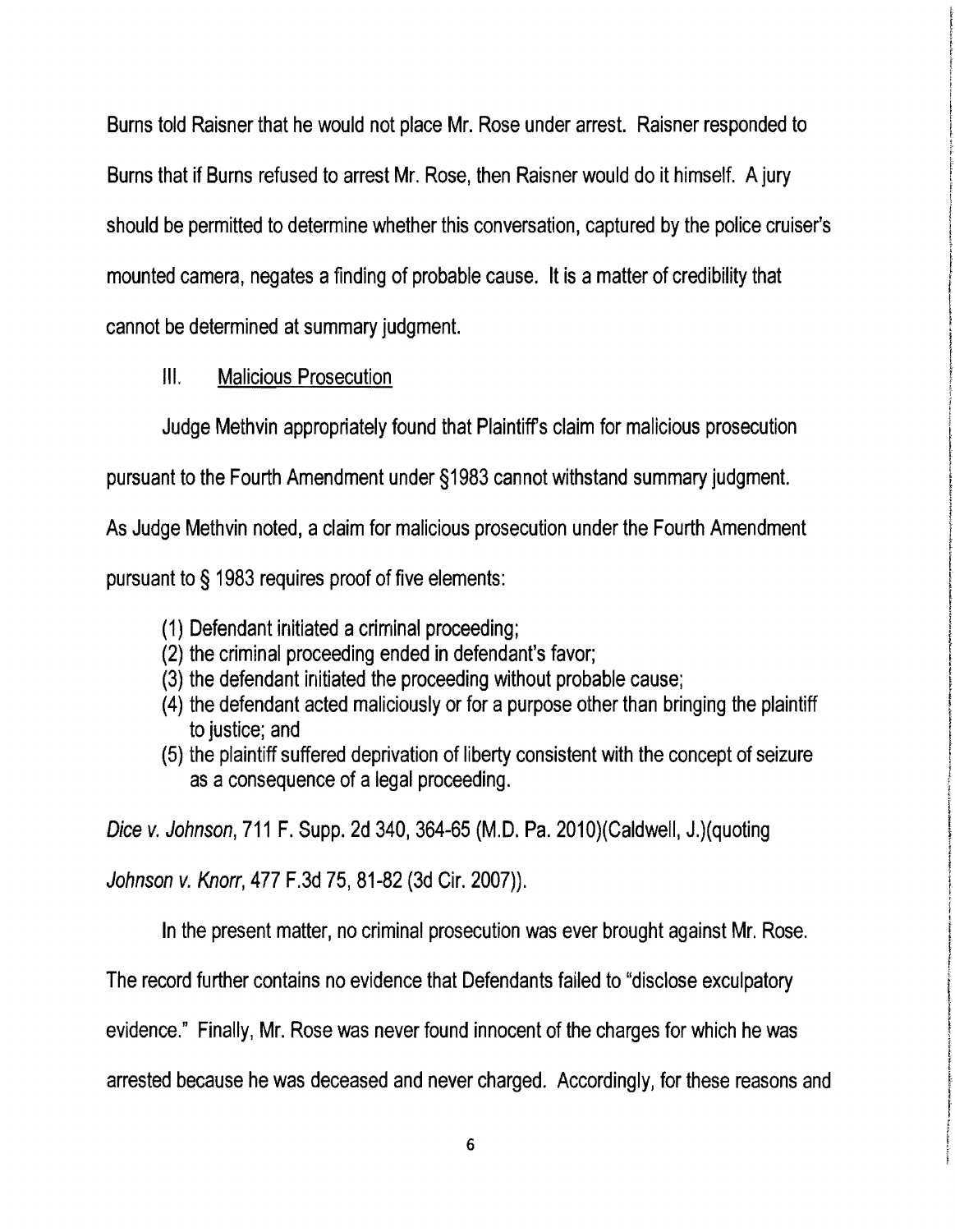Burns told Raisner that he would not place Mr. Rose under arrest. Raisner responded to Burns that if Burns refused to arrest Mr. Rose, then Raisner would do it himself. A jury should be permitted to determine whether this conversation, captured by the police cruiser's mounted camera, negates a finding of probable cause. It is a matter of credibility that cannot be determined at summary judgment.

# III. Malicious Prosecution

Judge Methvin appropriately found that Plaintiffs claim for malicious prosecution

ته بالمستقيم

**IC-adaptosacións** 

t

f

**International Control Account** 

! f

Partners.

pursuant to the Fourth Amendment under §1983 cannot withstand summary judgment.

As Judge Methvin noted, a claim for malicious prosecution under the Fourth Amendment

pursuant to § 1983 requires proof of five elements:

- (1) Defendant initiated acriminal proceeding;
- (2) the criminal proceeding ended in defendant's favor;
- (3) the defendant initiated the proceeding without probable cause;
- (4) the defendant acted maliciously or for apurpose other than bringing the plaintiff to justice; and
- (5) the plaintiff suffered deprivation of liberty consistent with the concept of seizure as a consequence of a legal proceeding.

Dice v. Johnson, 711 F. Supp. 2d 340, 364-65 (M.D. Pa. 2010) (Caldwell, J.) (quoting

Johnson v. Knorr, 477 F.3d 75,81-82 (3d Cir. 2007)).

In the present matter, no criminal prosecution was ever brought against Mr. Rose.

The record further contains no evidence that Defendants failed to "disclose exculpatory

evidence." Finally, Mr. Rose was never found innocent of the charges for which he was

arrested because he was deceased and never charged. Accordingly, for these reasons and t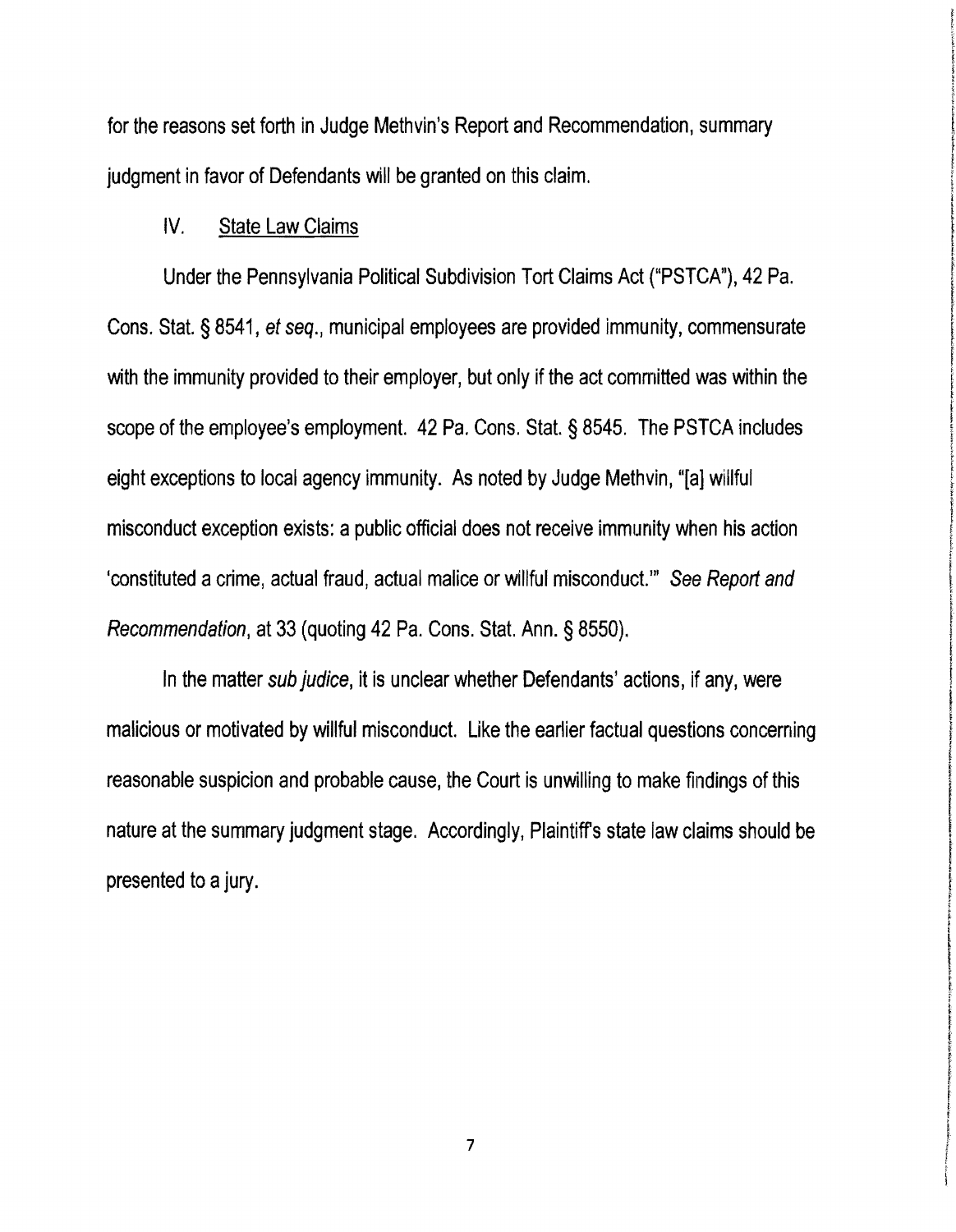for the reasons set forth in Judge Methvin's Report and Recommendation, summary judgment in favor of Defendants will be granted on this claim.

## IV. State Law Claims

Under the Pennsylvania Political Subdivision Tort Claims Act ("PSTCA"), 42 Pa. Cons. Stat. § 8541, et seq., municipal employees are provided immunity, commensurate with the immunity provided to their employer, but only if the act committed was within the scope of the employee's employment. 42 Pa. Cons. Stat. § 8545. The PSTCA includes eight exceptions to local agency immunity. As noted by Judge Methvin, 'Ta] willful misconduct exception exists: a public official does not receive immunity when his action 'constituted a crime, actual fraud, actual malice or willful misconduct."" See Report and Recommendation, at 33 (quoting 42 Pa. Cons. Stat. Ann. § 8550).

In the matter sub judice, it is unclear whether Defendants' actions, if any, were malicious or motivated by willful misconduct. Like the earlier factual questions concerning reasonable suspicion and probable cause, the Court is unwilling to make findings of this nature at the summary judgment stage. Accordingly, Plaintiff's state law claims should be presented to a jury.

7

l<br>L'alcoad and de la California de la California de la California de la California de la California de la California<br>L'alcoad de la California de la California de la California de la California de la California de la Calif

rentan

for the second results of the

f f **Internet incomediation** ; f